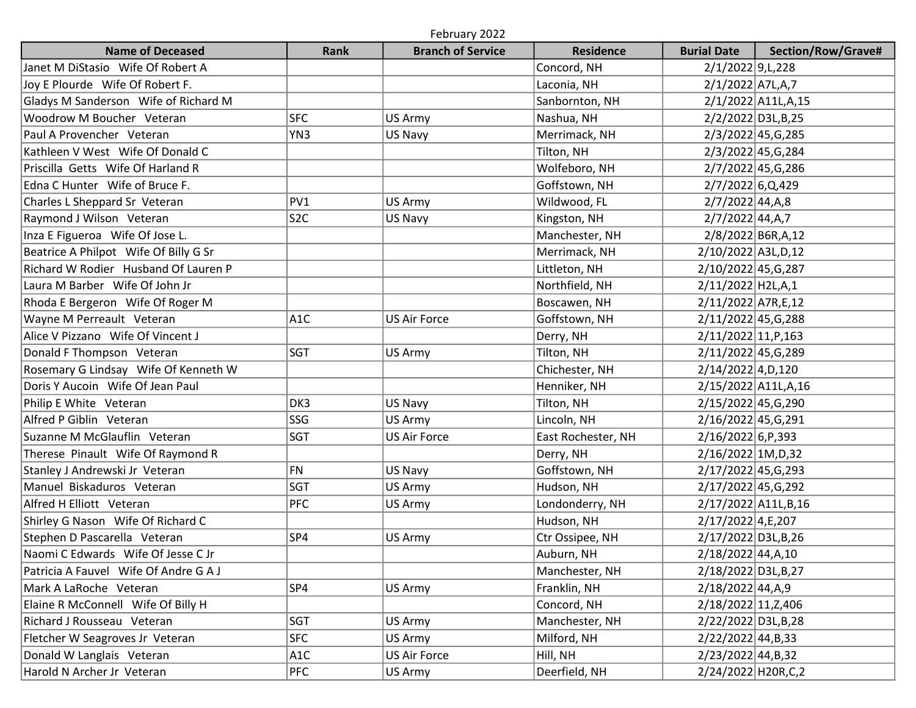| February 2022                         |                  |                          |                    |                       |                       |  |  |  |  |  |
|---------------------------------------|------------------|--------------------------|--------------------|-----------------------|-----------------------|--|--|--|--|--|
| <b>Name of Deceased</b>               | <b>Rank</b>      | <b>Branch of Service</b> | <b>Residence</b>   | <b>Burial Date</b>    | Section/Row/Grave#    |  |  |  |  |  |
| Janet M DiStasio Wife Of Robert A     |                  |                          | Concord, NH        | 2/1/2022 9, L, 228    |                       |  |  |  |  |  |
| Joy E Plourde Wife Of Robert F.       |                  |                          | Laconia, NH        | 2/1/2022 A7L,A,7      |                       |  |  |  |  |  |
| Gladys M Sanderson Wife of Richard M  |                  |                          | Sanbornton, NH     |                       | 2/1/2022 A11L, A, 15  |  |  |  |  |  |
| Woodrow M Boucher Veteran             | <b>SFC</b>       | US Army                  | Nashua, NH         |                       | 2/2/2022 D3L, B, 25   |  |  |  |  |  |
| Paul A Provencher Veteran             | YN3              | US Navy                  | Merrimack, NH      |                       | 2/3/2022 45, G, 285   |  |  |  |  |  |
| Kathleen V West Wife Of Donald C      |                  |                          | Tilton, NH         |                       | 2/3/2022 45, G, 284   |  |  |  |  |  |
| Priscilla Getts Wife Of Harland R     |                  |                          | Wolfeboro, NH      |                       | 2/7/2022 45, G, 286   |  |  |  |  |  |
| Edna C Hunter Wife of Bruce F.        |                  |                          | Goffstown, NH      | 2/7/2022 6,Q,429      |                       |  |  |  |  |  |
| Charles L Sheppard Sr Veteran         | PV1              | US Army                  | Wildwood, FL       | $2/7/2022$ 44, A, 8   |                       |  |  |  |  |  |
| Raymond J Wilson Veteran              | S <sub>2</sub> C | US Navy                  | Kingston, NH       | $2/7/2022$ 44, A, 7   |                       |  |  |  |  |  |
| Inza E Figueroa Wife Of Jose L.       |                  |                          | Manchester, NH     |                       | 2/8/2022 B6R, A, 12   |  |  |  |  |  |
| Beatrice A Philpot Wife Of Billy G Sr |                  |                          | Merrimack, NH      | 2/10/2022 A3L, D, 12  |                       |  |  |  |  |  |
| Richard W Rodier Husband Of Lauren P  |                  |                          | Littleton, NH      | 2/10/2022 45, G, 287  |                       |  |  |  |  |  |
| Laura M Barber Wife Of John Jr        |                  |                          | Northfield, NH     | 2/11/2022 H2L,A,1     |                       |  |  |  |  |  |
| Rhoda E Bergeron Wife Of Roger M      |                  |                          | Boscawen, NH       | 2/11/2022 A7R, E, 12  |                       |  |  |  |  |  |
| Wayne M Perreault Veteran             | A <sub>1</sub> C | <b>US Air Force</b>      | Goffstown, NH      | 2/11/2022 45, G, 288  |                       |  |  |  |  |  |
| Alice V Pizzano Wife Of Vincent J     |                  |                          | Derry, NH          | 2/11/2022 11, P, 163  |                       |  |  |  |  |  |
| Donald F Thompson Veteran             | <b>SGT</b>       | US Army                  | Tilton, NH         | 2/11/2022 45, G, 289  |                       |  |  |  |  |  |
| Rosemary G Lindsay Wife Of Kenneth W  |                  |                          | Chichester, NH     | 2/14/2022 4, D, 120   |                       |  |  |  |  |  |
| Doris Y Aucoin Wife Of Jean Paul      |                  |                          | Henniker, NH       |                       | 2/15/2022 A11L,A,16   |  |  |  |  |  |
| Philip E White Veteran                | DK3              | US Navy                  | Tilton, NH         | 2/15/2022 45, G, 290  |                       |  |  |  |  |  |
| Alfred P Giblin Veteran               | SSG              | US Army                  | Lincoln, NH        | 2/16/2022 45, G, 291  |                       |  |  |  |  |  |
| Suzanne M McGlauflin Veteran          | SGT              | <b>US Air Force</b>      | East Rochester, NH | $2/16/2022$ 6, P, 393 |                       |  |  |  |  |  |
| Therese Pinault Wife Of Raymond R     |                  |                          | Derry, NH          | 2/16/2022 1M, D, 32   |                       |  |  |  |  |  |
| Stanley J Andrewski Jr Veteran        | <b>FN</b>        | US Navy                  | Goffstown, NH      | 2/17/2022 45, G, 293  |                       |  |  |  |  |  |
| Manuel Biskaduros Veteran             | SGT              | US Army                  | Hudson, NH         | 2/17/2022 45, G, 292  |                       |  |  |  |  |  |
| Alfred H Elliott Veteran              | <b>PFC</b>       | US Army                  | Londonderry, NH    |                       | 2/17/2022 A11L, B, 16 |  |  |  |  |  |
| Shirley G Nason Wife Of Richard C     |                  |                          | Hudson, NH         | $2/17/2022$ 4, E, 207 |                       |  |  |  |  |  |
| Stephen D Pascarella Veteran          | SP4              | US Army                  | Ctr Ossipee, NH    | 2/17/2022 D3L, B, 26  |                       |  |  |  |  |  |
| Naomi C Edwards Wife Of Jesse C Jr    |                  |                          | Auburn, NH         | 2/18/2022 44, A, 10   |                       |  |  |  |  |  |
| Patricia A Fauvel Wife Of Andre G A J |                  |                          | Manchester, NH     | 2/18/2022 D3L, B, 27  |                       |  |  |  |  |  |
| Mark A LaRoche Veteran                | SP4              | US Army                  | Franklin, NH       | 2/18/2022 44, A, 9    |                       |  |  |  |  |  |
| Elaine R McConnell Wife Of Billy H    |                  |                          | Concord, NH        | 2/18/2022 11, Z, 406  |                       |  |  |  |  |  |
| Richard J Rousseau Veteran            | SGT              | US Army                  | Manchester, NH     | 2/22/2022 D3L, B, 28  |                       |  |  |  |  |  |
| Fletcher W Seagroves Jr Veteran       | <b>SFC</b>       | US Army                  | Milford, NH        | 2/22/2022 44, B, 33   |                       |  |  |  |  |  |
| Donald W Langlais Veteran             | A <sub>1</sub> C | US Air Force             | Hill, NH           | 2/23/2022 44, B, 32   |                       |  |  |  |  |  |
| Harold N Archer Jr Veteran            | <b>PFC</b>       | US Army                  | Deerfield, NH      | 2/24/2022 H20R, C, 2  |                       |  |  |  |  |  |